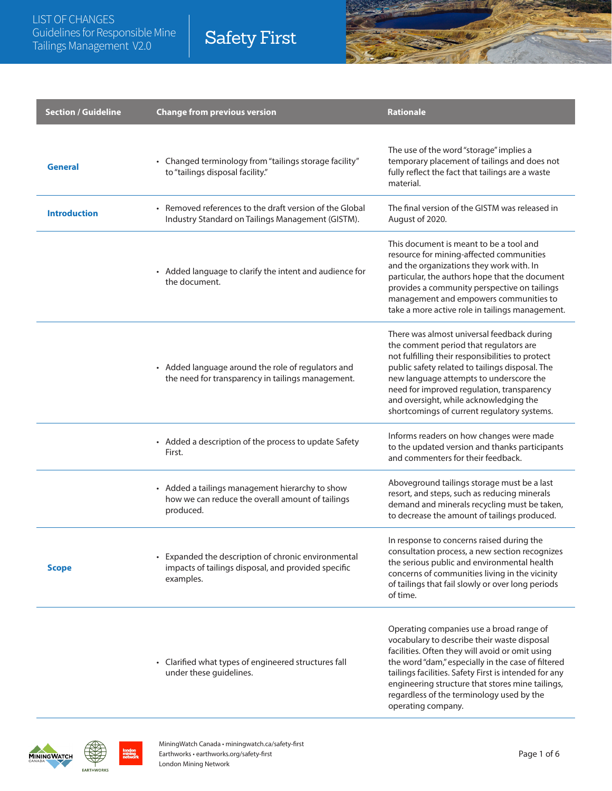| <b>Section / Guideline</b> | <b>Change from previous version</b>                                                                                     | <b>Rationale</b>                                                                                                                                                                                                                                                                                                                                                                 |
|----------------------------|-------------------------------------------------------------------------------------------------------------------------|----------------------------------------------------------------------------------------------------------------------------------------------------------------------------------------------------------------------------------------------------------------------------------------------------------------------------------------------------------------------------------|
| <b>General</b>             | • Changed terminology from "tailings storage facility"<br>to "tailings disposal facility."                              | The use of the word "storage" implies a<br>temporary placement of tailings and does not<br>fully reflect the fact that tailings are a waste<br>material.                                                                                                                                                                                                                         |
| <b>Introduction</b>        | • Removed references to the draft version of the Global<br>Industry Standard on Tailings Management (GISTM).            | The final version of the GISTM was released in<br>August of 2020.                                                                                                                                                                                                                                                                                                                |
|                            | • Added language to clarify the intent and audience for<br>the document.                                                | This document is meant to be a tool and<br>resource for mining-affected communities<br>and the organizations they work with. In<br>particular, the authors hope that the document<br>provides a community perspective on tailings<br>management and empowers communities to<br>take a more active role in tailings management.                                                   |
|                            | • Added language around the role of regulators and<br>the need for transparency in tailings management.                 | There was almost universal feedback during<br>the comment period that regulators are<br>not fulfilling their responsibilities to protect<br>public safety related to tailings disposal. The<br>new language attempts to underscore the<br>need for improved regulation, transparency<br>and oversight, while acknowledging the<br>shortcomings of current regulatory systems.    |
|                            | • Added a description of the process to update Safety<br>First.                                                         | Informs readers on how changes were made<br>to the updated version and thanks participants<br>and commenters for their feedback.                                                                                                                                                                                                                                                 |
|                            | • Added a tailings management hierarchy to show<br>how we can reduce the overall amount of tailings<br>produced.        | Aboveground tailings storage must be a last<br>resort, and steps, such as reducing minerals<br>demand and minerals recycling must be taken,<br>to decrease the amount of tailings produced.                                                                                                                                                                                      |
| <b>Scope</b>               | • Expanded the description of chronic environmental<br>impacts of tailings disposal, and provided specific<br>examples. | In response to concerns raised during the<br>consultation process, a new section recognizes<br>the serious public and environmental health<br>concerns of communities living in the vicinity<br>of tailings that fail slowly or over long periods<br>of time.                                                                                                                    |
|                            | • Clarified what types of engineered structures fall<br>under these guidelines.                                         | Operating companies use a broad range of<br>vocabulary to describe their waste disposal<br>facilities. Often they will avoid or omit using<br>the word "dam," especially in the case of filtered<br>tailings facilities. Safety First is intended for any<br>engineering structure that stores mine tailings,<br>regardless of the terminology used by the<br>operating company. |

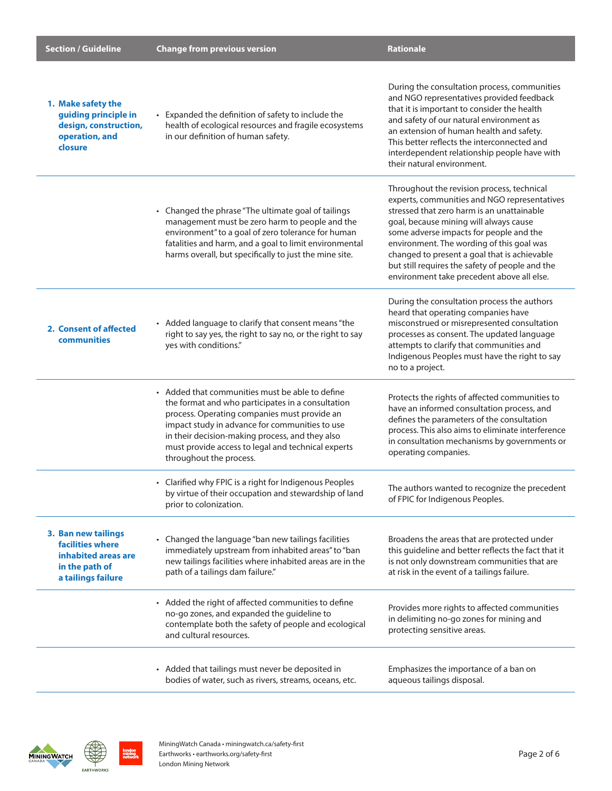| <b>Section / Guideline</b>                                                                             | <b>Change from previous version</b>                                                                                                                                                                                                                                                                                                        | Rationale                                                                                                                                                                                                                                                                                                                                                                                                                   |
|--------------------------------------------------------------------------------------------------------|--------------------------------------------------------------------------------------------------------------------------------------------------------------------------------------------------------------------------------------------------------------------------------------------------------------------------------------------|-----------------------------------------------------------------------------------------------------------------------------------------------------------------------------------------------------------------------------------------------------------------------------------------------------------------------------------------------------------------------------------------------------------------------------|
| 1. Make safety the<br>guiding principle in<br>design, construction,<br>operation, and<br>closure       | • Expanded the definition of safety to include the<br>health of ecological resources and fragile ecosystems<br>in our definition of human safety.                                                                                                                                                                                          | During the consultation process, communities<br>and NGO representatives provided feedback<br>that it is important to consider the health<br>and safety of our natural environment as<br>an extension of human health and safety.<br>This better reflects the interconnected and<br>interdependent relationship people have with<br>their natural environment.                                                               |
|                                                                                                        | • Changed the phrase "The ultimate goal of tailings<br>management must be zero harm to people and the<br>environment" to a goal of zero tolerance for human<br>fatalities and harm, and a goal to limit environmental<br>harms overall, but specifically to just the mine site.                                                            | Throughout the revision process, technical<br>experts, communities and NGO representatives<br>stressed that zero harm is an unattainable<br>goal, because mining will always cause<br>some adverse impacts for people and the<br>environment. The wording of this goal was<br>changed to present a goal that is achievable<br>but still requires the safety of people and the<br>environment take precedent above all else. |
| 2. Consent of affected<br>communities                                                                  | • Added language to clarify that consent means "the<br>right to say yes, the right to say no, or the right to say<br>yes with conditions."                                                                                                                                                                                                 | During the consultation process the authors<br>heard that operating companies have<br>misconstrued or misrepresented consultation<br>processes as consent. The updated language<br>attempts to clarify that communities and<br>Indigenous Peoples must have the right to say<br>no to a project.                                                                                                                            |
|                                                                                                        | • Added that communities must be able to define<br>the format and who participates in a consultation<br>process. Operating companies must provide an<br>impact study in advance for communities to use<br>in their decision-making process, and they also<br>must provide access to legal and technical experts<br>throughout the process. | Protects the rights of affected communities to<br>have an informed consultation process, and<br>defines the parameters of the consultation<br>process. This also aims to eliminate interference<br>in consultation mechanisms by governments or<br>operating companies.                                                                                                                                                     |
|                                                                                                        | • Clarified why FPIC is a right for Indigenous Peoples<br>by virtue of their occupation and stewardship of land<br>prior to colonization.                                                                                                                                                                                                  | The authors wanted to recognize the precedent<br>of FPIC for Indigenous Peoples.                                                                                                                                                                                                                                                                                                                                            |
| 3. Ban new tailings<br>facilities where<br>inhabited areas are<br>in the path of<br>a tailings failure | • Changed the language "ban new tailings facilities<br>immediately upstream from inhabited areas" to "ban<br>new tailings facilities where inhabited areas are in the<br>path of a tailings dam failure."                                                                                                                                  | Broadens the areas that are protected under<br>this guideline and better reflects the fact that it<br>is not only downstream communities that are<br>at risk in the event of a tailings failure.                                                                                                                                                                                                                            |
|                                                                                                        | • Added the right of affected communities to define<br>no-go zones, and expanded the guideline to<br>contemplate both the safety of people and ecological<br>and cultural resources.                                                                                                                                                       | Provides more rights to affected communities<br>in delimiting no-go zones for mining and<br>protecting sensitive areas.                                                                                                                                                                                                                                                                                                     |
|                                                                                                        | • Added that tailings must never be deposited in<br>bodies of water, such as rivers, streams, oceans, etc.                                                                                                                                                                                                                                 | Emphasizes the importance of a ban on<br>aqueous tailings disposal.                                                                                                                                                                                                                                                                                                                                                         |

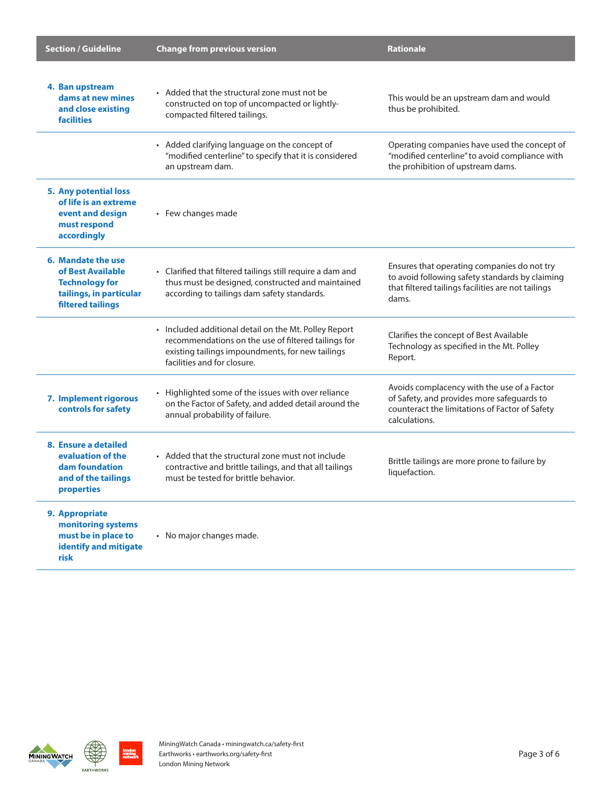| <b>Section / Guideline</b>                                                                                       | <b>Change from previous version</b>                                                                                                                                                             | <b>Rationale</b>                                                                                                                                              |
|------------------------------------------------------------------------------------------------------------------|-------------------------------------------------------------------------------------------------------------------------------------------------------------------------------------------------|---------------------------------------------------------------------------------------------------------------------------------------------------------------|
| 4. Ban upstream<br>dams at new mines<br>and close existing<br><b>facilities</b>                                  | • Added that the structural zone must not be<br>constructed on top of uncompacted or lightly-<br>compacted filtered tailings.                                                                   | This would be an upstream dam and would<br>thus be prohibited.                                                                                                |
|                                                                                                                  | • Added clarifying language on the concept of<br>"modified centerline" to specify that it is considered<br>an upstream dam.                                                                     | Operating companies have used the concept of<br>"modified centerline" to avoid compliance with<br>the prohibition of upstream dams.                           |
| <b>5. Any potential loss</b><br>of life is an extreme<br>event and design<br>must respond<br>accordingly         | • Few changes made                                                                                                                                                                              |                                                                                                                                                               |
| 6. Mandate the use<br>of Best Available<br><b>Technology for</b><br>tailings, in particular<br>filtered tailings | • Clarified that filtered tailings still require a dam and<br>thus must be designed, constructed and maintained<br>according to tailings dam safety standards.                                  | Ensures that operating companies do not try<br>to avoid following safety standards by claiming<br>that filtered tailings facilities are not tailings<br>dams. |
|                                                                                                                  | • Included additional detail on the Mt. Polley Report<br>recommendations on the use of filtered tailings for<br>existing tailings impoundments, for new tailings<br>facilities and for closure. | Clarifies the concept of Best Available<br>Technology as specified in the Mt. Polley<br>Report.                                                               |
| 7. Implement rigorous<br>controls for safety                                                                     | • Highlighted some of the issues with over reliance<br>on the Factor of Safety, and added detail around the<br>annual probability of failure.                                                   | Avoids complacency with the use of a Factor<br>of Safety, and provides more safeguards to<br>counteract the limitations of Factor of Safety<br>calculations.  |
| 8. Ensure a detailed<br>evaluation of the<br>dam foundation<br>and of the tailings<br>properties                 | • Added that the structural zone must not include<br>contractive and brittle tailings, and that all tailings<br>must be tested for brittle behavior.                                            | Brittle tailings are more prone to failure by<br>liquefaction.                                                                                                |
| 9. Appropriate<br>monitoring systems<br>must be in place to<br>identify and mitigate<br>risk                     | • No major changes made.                                                                                                                                                                        |                                                                                                                                                               |





ondon<br>nining<br>1etwork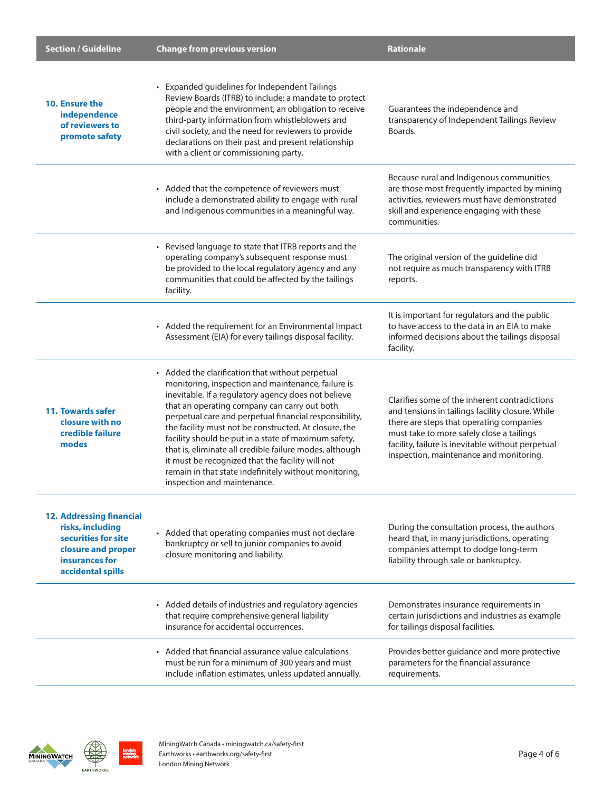| <b>Section / Guideline</b>                                                                                                              | <b>Change from previous version</b>                                                                                                                                                                                                                                                                                                                                                                                                                                                                                                                                                             | <b>Rationale</b>                                                                                                                                                                                                                                                                           |
|-----------------------------------------------------------------------------------------------------------------------------------------|-------------------------------------------------------------------------------------------------------------------------------------------------------------------------------------------------------------------------------------------------------------------------------------------------------------------------------------------------------------------------------------------------------------------------------------------------------------------------------------------------------------------------------------------------------------------------------------------------|--------------------------------------------------------------------------------------------------------------------------------------------------------------------------------------------------------------------------------------------------------------------------------------------|
| 10. Ensure the<br>independence<br>of reviewers to<br>promote safety                                                                     | • Expanded guidelines for Independent Tailings<br>Review Boards (ITRB) to include: a mandate to protect<br>people and the environment, an obligation to receive<br>third-party information from whistleblowers and<br>civil society, and the need for reviewers to provide<br>declarations on their past and present relationship<br>with a client or commissioning party.                                                                                                                                                                                                                      | Guarantees the independence and<br>transparency of Independent Tailings Review<br>Boards.                                                                                                                                                                                                  |
|                                                                                                                                         | • Added that the competence of reviewers must<br>include a demonstrated ability to engage with rural<br>and Indigenous communities in a meaningful way.                                                                                                                                                                                                                                                                                                                                                                                                                                         | Because rural and Indigenous communities<br>are those most frequently impacted by mining<br>activities, reviewers must have demonstrated<br>skill and experience engaging with these<br>communities.                                                                                       |
|                                                                                                                                         | • Revised language to state that ITRB reports and the<br>operating company's subsequent response must<br>be provided to the local regulatory agency and any<br>communities that could be affected by the tailings<br>facility.                                                                                                                                                                                                                                                                                                                                                                  | The original version of the guideline did<br>not require as much transparency with ITRB<br>reports.                                                                                                                                                                                        |
|                                                                                                                                         | • Added the requirement for an Environmental Impact<br>Assessment (EIA) for every tailings disposal facility.                                                                                                                                                                                                                                                                                                                                                                                                                                                                                   | It is important for regulators and the public<br>to have access to the data in an EIA to make<br>informed decisions about the tailings disposal<br>facility.                                                                                                                               |
| 11. Towards safer<br>closure with no<br>credible failure<br>modes                                                                       | • Added the clarification that without perpetual<br>monitoring, inspection and maintenance, failure is<br>inevitable. If a regulatory agency does not believe<br>that an operating company can carry out both<br>perpetual care and perpetual financial responsibility,<br>the facility must not be constructed. At closure, the<br>facility should be put in a state of maximum safety,<br>that is, eliminate all credible failure modes, although<br>it must be recognized that the facility will not<br>remain in that state indefinitely without monitoring,<br>inspection and maintenance. | Clarifies some of the inherent contradictions<br>and tensions in tailings facility closure. While<br>there are steps that operating companies<br>must take to more safely close a tailings<br>facility, failure is inevitable without perpetual<br>inspection, maintenance and monitoring. |
| <b>12. Addressing financial</b><br>risks, including<br>securities for site<br>closure and proper<br>insurances for<br>accidental spills | • Added that operating companies must not declare<br>bankruptcy or sell to junior companies to avoid<br>closure monitoring and liability.                                                                                                                                                                                                                                                                                                                                                                                                                                                       | During the consultation process, the authors<br>heard that, in many jurisdictions, operating<br>companies attempt to dodge long-term<br>liability through sale or bankruptcy.                                                                                                              |
|                                                                                                                                         | • Added details of industries and regulatory agencies<br>that require comprehensive general liability<br>insurance for accidental occurrences.                                                                                                                                                                                                                                                                                                                                                                                                                                                  | Demonstrates insurance requirements in<br>certain jurisdictions and industries as example<br>for tailings disposal facilities.                                                                                                                                                             |
|                                                                                                                                         | • Added that financial assurance value calculations<br>must be run for a minimum of 300 years and must<br>include inflation estimates, unless updated annually.                                                                                                                                                                                                                                                                                                                                                                                                                                 | Provides better guidance and more protective<br>parameters for the financial assurance<br>requirements.                                                                                                                                                                                    |

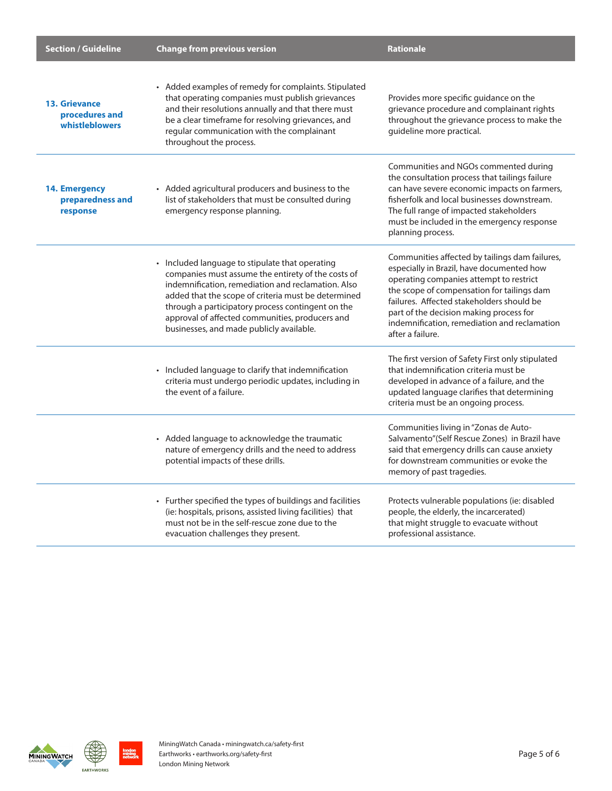| <b>Section / Guideline</b>                               | <b>Change from previous version</b>                                                                                                                                                                                                                                                                                                                                    | <b>Rationale</b>                                                                                                                                                                                                                                                                                                                                 |
|----------------------------------------------------------|------------------------------------------------------------------------------------------------------------------------------------------------------------------------------------------------------------------------------------------------------------------------------------------------------------------------------------------------------------------------|--------------------------------------------------------------------------------------------------------------------------------------------------------------------------------------------------------------------------------------------------------------------------------------------------------------------------------------------------|
| <b>13. Grievance</b><br>procedures and<br>whistleblowers | • Added examples of remedy for complaints. Stipulated<br>that operating companies must publish grievances<br>and their resolutions annually and that there must<br>be a clear timeframe for resolving grievances, and<br>regular communication with the complainant<br>throughout the process.                                                                         | Provides more specific guidance on the<br>grievance procedure and complainant rights<br>throughout the grievance process to make the<br>guideline more practical.                                                                                                                                                                                |
| 14. Emergency<br>preparedness and<br>response            | • Added agricultural producers and business to the<br>list of stakeholders that must be consulted during<br>emergency response planning.                                                                                                                                                                                                                               | Communities and NGOs commented during<br>the consultation process that tailings failure<br>can have severe economic impacts on farmers,<br>fisherfolk and local businesses downstream.<br>The full range of impacted stakeholders<br>must be included in the emergency response<br>planning process.                                             |
|                                                          | • Included language to stipulate that operating<br>companies must assume the entirety of the costs of<br>indemnification, remediation and reclamation. Also<br>added that the scope of criteria must be determined<br>through a participatory process contingent on the<br>approval of affected communities, producers and<br>businesses, and made publicly available. | Communities affected by tailings dam failures,<br>especially in Brazil, have documented how<br>operating companies attempt to restrict<br>the scope of compensation for tailings dam<br>failures. Affected stakeholders should be<br>part of the decision making process for<br>indemnification, remediation and reclamation<br>after a failure. |
|                                                          | • Included language to clarify that indemnification<br>criteria must undergo periodic updates, including in<br>the event of a failure.                                                                                                                                                                                                                                 | The first version of Safety First only stipulated<br>that indemnification criteria must be<br>developed in advance of a failure, and the<br>updated language clarifies that determining<br>criteria must be an ongoing process.                                                                                                                  |
|                                                          | • Added language to acknowledge the traumatic<br>nature of emergency drills and the need to address<br>potential impacts of these drills.                                                                                                                                                                                                                              | Communities living in "Zonas de Auto-<br>Salvamento"(Self Rescue Zones) in Brazil have<br>said that emergency drills can cause anxiety<br>for downstream communities or evoke the<br>memory of past tragedies.                                                                                                                                   |
|                                                          | • Further specified the types of buildings and facilities<br>(ie: hospitals, prisons, assisted living facilities) that<br>must not be in the self-rescue zone due to the<br>evacuation challenges they present.                                                                                                                                                        | Protects vulnerable populations (ie: disabled<br>people, the elderly, the incarcerated)<br>that might struggle to evacuate without<br>professional assistance.                                                                                                                                                                                   |





**london<br>mining<br>network**